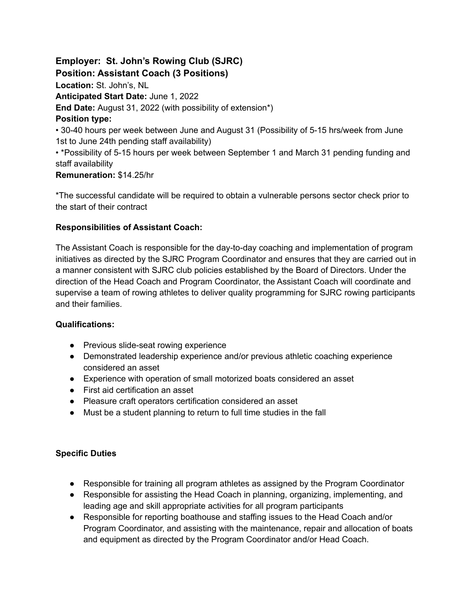**Employer: St. John's Rowing Club (SJRC) Position: Assistant Coach (3 Positions) Location:** St. John's, NL **Anticipated Start Date:** June 1, 2022 **End Date:** August 31, 2022 (with possibility of extension\*) **Position type:** • 30-40 hours per week between June and August 31 (Possibility of 5-15 hrs/week from June 1st to June 24th pending staff availability) • \*Possibility of 5-15 hours per week between September 1 and March 31 pending funding and staff availability **Remuneration:** \$14.25/hr

\*The successful candidate will be required to obtain a vulnerable persons sector check prior to the start of their contract

### **Responsibilities of Assistant Coach:**

The Assistant Coach is responsible for the day-to-day coaching and implementation of program initiatives as directed by the SJRC Program Coordinator and ensures that they are carried out in a manner consistent with SJRC club policies established by the Board of Directors. Under the direction of the Head Coach and Program Coordinator, the Assistant Coach will coordinate and supervise a team of rowing athletes to deliver quality programming for SJRC rowing participants and their families.

#### **Qualifications:**

- Previous slide-seat rowing experience
- Demonstrated leadership experience and/or previous athletic coaching experience considered an asset
- Experience with operation of small motorized boats considered an asset
- First aid certification an asset
- Pleasure craft operators certification considered an asset
- Must be a student planning to return to full time studies in the fall

#### **Specific Duties**

- Responsible for training all program athletes as assigned by the Program Coordinator
- Responsible for assisting the Head Coach in planning, organizing, implementing, and leading age and skill appropriate activities for all program participants
- Responsible for reporting boathouse and staffing issues to the Head Coach and/or Program Coordinator, and assisting with the maintenance, repair and allocation of boats and equipment as directed by the Program Coordinator and/or Head Coach.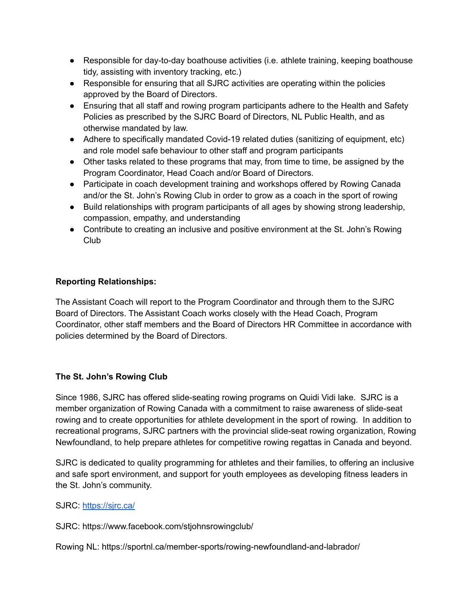- Responsible for day-to-day boathouse activities (i.e. athlete training, keeping boathouse tidy, assisting with inventory tracking, etc.)
- Responsible for ensuring that all SJRC activities are operating within the policies approved by the Board of Directors.
- Ensuring that all staff and rowing program participants adhere to the Health and Safety Policies as prescribed by the SJRC Board of Directors, NL Public Health, and as otherwise mandated by law.
- Adhere to specifically mandated Covid-19 related duties (sanitizing of equipment, etc) and role model safe behaviour to other staff and program participants
- Other tasks related to these programs that may, from time to time, be assigned by the Program Coordinator, Head Coach and/or Board of Directors.
- Participate in coach development training and workshops offered by Rowing Canada and/or the St. John's Rowing Club in order to grow as a coach in the sport of rowing
- Build relationships with program participants of all ages by showing strong leadership, compassion, empathy, and understanding
- Contribute to creating an inclusive and positive environment at the St. John's Rowing Club

## **Reporting Relationships:**

The Assistant Coach will report to the Program Coordinator and through them to the SJRC Board of Directors. The Assistant Coach works closely with the Head Coach, Program Coordinator, other staff members and the Board of Directors HR Committee in accordance with policies determined by the Board of Directors.

# **The St. John's Rowing Club**

Since 1986, SJRC has offered slide-seating rowing programs on Quidi Vidi lake. SJRC is a member organization of Rowing Canada with a commitment to raise awareness of slide-seat rowing and to create opportunities for athlete development in the sport of rowing. In addition to recreational programs, SJRC partners with the provincial slide-seat rowing organization, Rowing Newfoundland, to help prepare athletes for competitive rowing regattas in Canada and beyond.

SJRC is dedicated to quality programming for athletes and their families, to offering an inclusive and safe sport environment, and support for youth employees as developing fitness leaders in the St. John's community.

### SJRC: <https://sjrc.ca/>

SJRC: https://www.facebook.com/stjohnsrowingclub/

Rowing NL: https://sportnl.ca/member-sports/rowing-newfoundland-and-labrador/